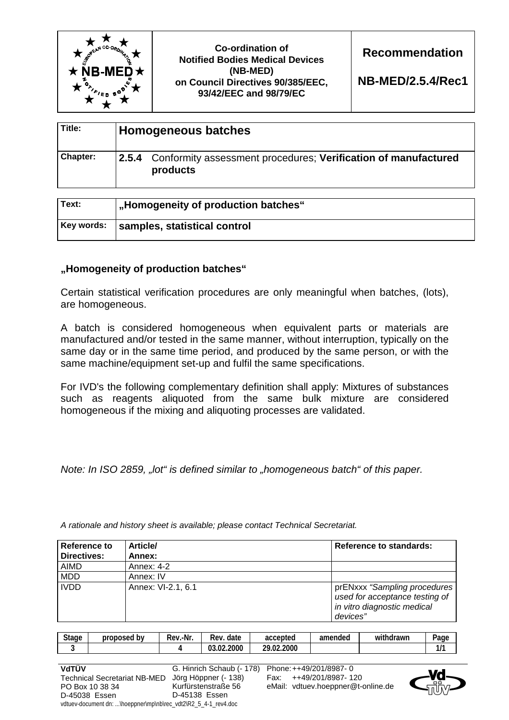

**Co-ordination of Notified Bodies Medical Devices (NB-MED) on Council Directives 90/385/EEC, 93/42/EEC and 98/79/EC** 

**Recommendation** 

**NB-MED/2.5.4/Rec1**

| Title:   | Homogeneous batches |                                                                                  |  |
|----------|---------------------|----------------------------------------------------------------------------------|--|
| Chapter: |                     | 2.5.4 Conformity assessment procedures; Verification of manufactured<br>products |  |

| Text:      | <b>J</b> , Homogeneity of production batches" |
|------------|-----------------------------------------------|
| Key words: | samples, statistical control                  |

# **"Homogeneity of production batches"**

Certain statistical verification procedures are only meaningful when batches, (lots), are homogeneous.

A batch is considered homogeneous when equivalent parts or materials are manufactured and/or tested in the same manner, without interruption, typically on the same day or in the same time period, and produced by the same person, or with the same machine/equipment set-up and fulfil the same specifications.

For IVD's the following complementary definition shall apply: Mixtures of substances such as reagents aliquoted from the same bulk mixture are considered homogeneous if the mixing and aliquoting processes are validated.

*Note: In ISO 2859, "Iot" is defined similar to "homogeneous batch" of this paper.* 

| Reference to | <b>Article/</b>    | <b>Reference to standards:</b>                                                                            |
|--------------|--------------------|-----------------------------------------------------------------------------------------------------------|
| Directives:  | Annex:             |                                                                                                           |
| AIMD         | Annex: 4-2         |                                                                                                           |
| <b>MDD</b>   | Annex: IV          |                                                                                                           |
| <b>IVDD</b>  | Annex: VI-2.1, 6.1 | prENxxx "Sampling procedures<br>used for acceptance testing of<br>in vitro diagnostic medical<br>devices" |

*A rationale and history sheet is available; please contact Technical Secretariat.* 

| <b>Stage</b> | proposed by | Rev.-Nr. | date<br>Rev.    | accepted   | amended | withdrawn | $P$ age |
|--------------|-------------|----------|-----------------|------------|---------|-----------|---------|
| w            |             |          | .02.2000<br>03. | 29.02.2000 |         |           | 111<br> |
|              |             |          |                 |            |         |           |         |



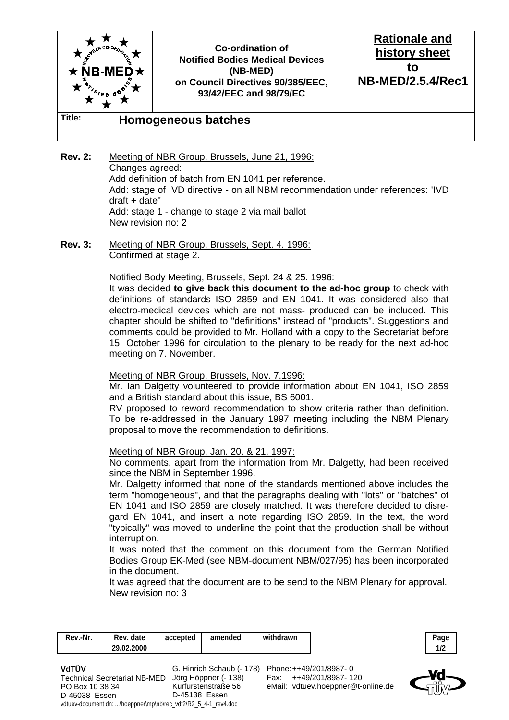

- **Rev. 2:** Meeting of NBR Group, Brussels, June 21, 1996: Changes agreed: Add definition of batch from EN 1041 per reference. Add: stage of IVD directive - on all NBM recommendation under references: 'IVD draft + date" Add: stage 1 - change to stage 2 via mail ballot New revision no: 2
- **Rev. 3:** Meeting of NBR Group, Brussels, Sept. 4. 1996: Confirmed at stage 2.

#### Notified Body Meeting, Brussels, Sept. 24 & 25. 1996:

 It was decided **to give back this document to the ad-hoc group** to check with definitions of standards ISO 2859 and EN 1041. It was considered also that electro-medical devices which are not mass- produced can be included. This chapter should be shifted to "definitions" instead of "products". Suggestions and comments could be provided to Mr. Holland with a copy to the Secretariat before 15. October 1996 for circulation to the plenary to be ready for the next ad-hoc meeting on 7. November.

#### Meeting of NBR Group, Brussels, Nov. 7.1996:

 Mr. Ian Dalgetty volunteered to provide information about EN 1041, ISO 2859 and a British standard about this issue, BS 6001.

 RV proposed to reword recommendation to show criteria rather than definition. To be re-addressed in the January 1997 meeting including the NBM Plenary proposal to move the recommendation to definitions.

### Meeting of NBR Group, Jan. 20. & 21. 1997:

vdtuev-document dn: ...\hoeppner\mp\nb\rec\_vdt2\R2\_5\_4-1\_rev4.doc

 No comments, apart from the information from Mr. Dalgetty, had been received since the NBM in September 1996.

 Mr. Dalgetty informed that none of the standards mentioned above includes the term "homogeneous", and that the paragraphs dealing with "lots" or "batches" of EN 1041 and ISO 2859 are closely matched. It was therefore decided to disregard EN 1041, and insert a note regarding ISO 2859. In the text, the word "typically" was moved to underline the point that the production shall be without interruption.

 It was noted that the comment on this document from the German Notified Bodies Group EK-Med (see NBM-document NBM/027/95) has been incorporated in the document.

 It was agreed that the document are to be send to the NBM Plenary for approval. New revision no: 3

| Rev.-Nr.                            | Rev. date  | accepted      | amended                   | withdrawn |                                    | Page |
|-------------------------------------|------------|---------------|---------------------------|-----------|------------------------------------|------|
|                                     | 29.02.2000 |               |                           |           |                                    | 1/2  |
|                                     |            |               |                           |           |                                    |      |
| VdTÜV                               |            |               | G. Hinrich Schaub (- 178) |           | Phone: ++49/201/8987-0             |      |
| <b>Technical Secretariat NB-MED</b> |            |               | Jörg Höppner (- 138)      |           | ++49/201/8987-120                  |      |
| PO Box 10 38 34                     |            |               | Kurfürstenstraße 56       |           | eMail: vdtuev.hoeppner@t-online.de |      |
| D-45038 Essen                       |            | D-45138 Essen |                           |           |                                    |      |